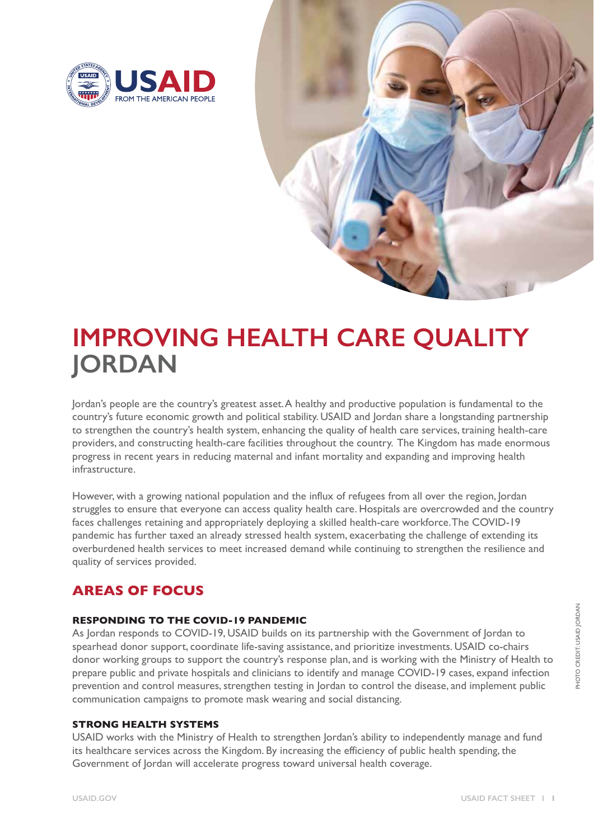



# **IMPROVING HEALTH CARE QUALITY JORDAN**

Jordan's people are the country's greatest asset. A healthy and productive population is fundamental to the country's future economic growth and political stability. USAID and Jordan share a longstanding partnership to strengthen the country's health system, enhancing the quality of health care services, training health-care providers, and constructing health-care facilities throughout the country. The Kingdom has made enormous progress in recent years in reducing maternal and infant mortality and expanding and improving health infrastructure.

However, with a growing national population and the influx of refugees from all over the region, Jordan struggles to ensure that everyone can access quality health care. Hospitals are overcrowded and the country faces challenges retaining and appropriately deploying a skilled health-care workforce. The COVID-19 pandemic has further taxed an already stressed health system, exacerbating the challenge of extending its overburdened health services to meet increased demand while continuing to strengthen the resilience and quality of services provided.

# **AREAS OF FOCUS**

## **RESPONDING TO THE COVID-19 PANDEMIC**

As Jordan responds to COVID-19, USAID builds on its partnership with the Government of Jordan to spearhead donor support, coordinate life-saving assistance, and prioritize investments. USAID co-chairs donor working groups to support the country's response plan, and is working with the Ministry of Health to prepare public and private hospitals and clinicians to identify and manage COVID-19 cases, expand infection prevention and control measures, strengthen testing in Jordan to control the disease, and implement public communication campaigns to promote mask wearing and social distancing.

#### **STRONG HEALTH SYSTEMS**

USAID works with the Ministry of Health to strengthen Jordan's ability to independently manage and fund its healthcare services across the Kingdom. By increasing the efficiency of public health spending, the Government of Jordan will accelerate progress toward universal health coverage.